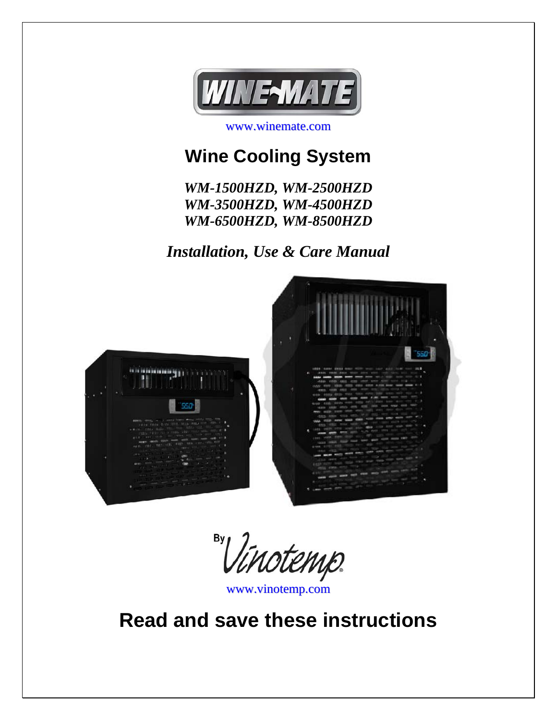

www.winemate.com

# **Wine Cooling System**

*WM-1500HZD, WM-2500HZD WM-3500HZD, WM-4500HZD WM-6500HZD, WM-8500HZD* 

*Installation, Use & Care Manual* 



By 'Vinotemp

www.vinotemp.com

**Read and save these instructions**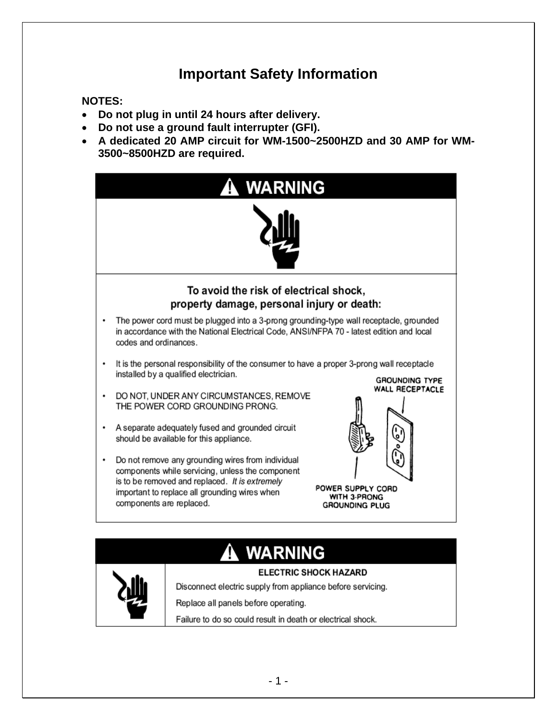### **Important Safety Information**

#### **NOTES:**

- **Do not plug in until 24 hours after delivery.**
- **Do not use a ground fault interrupter (GFI).**
- **A dedicated 20 AMP circuit for WM-1500~2500HZD and 30 AMP for WM-3500~8500HZD are required.**



# **WARNING**

Disconnect electric supply from appliance before servicing.

#### **ELECTRIC SHOCK HAZARD**

Replace all panels before operating.

Failure to do so could result in death or electrical shock.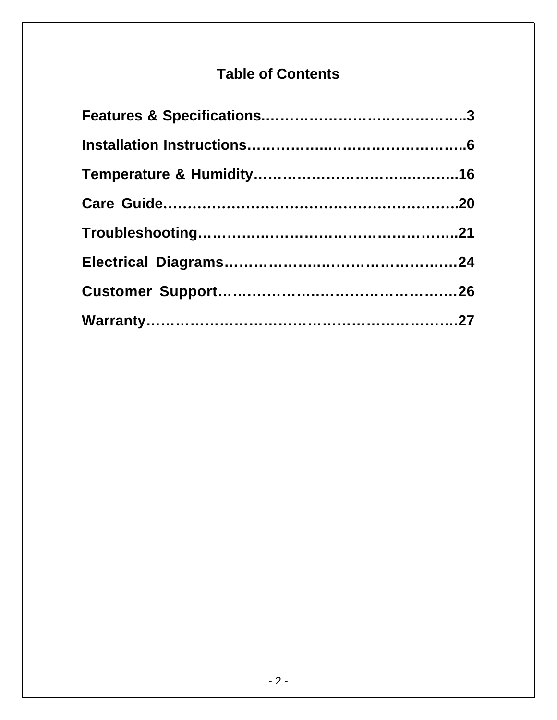### **Table of Contents**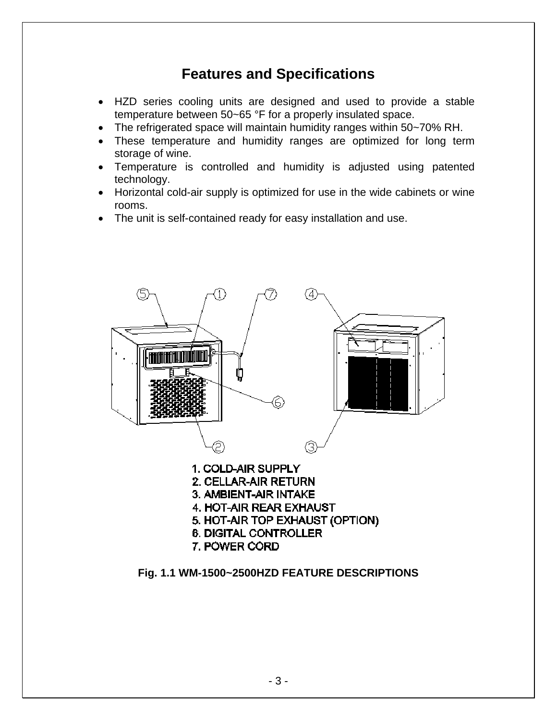### **Features and Specifications**

- HZD series cooling units are designed and used to provide a stable temperature between 50~65 °F for a properly insulated space.
- The refrigerated space will maintain humidity ranges within 50~70% RH.
- These temperature and humidity ranges are optimized for long term storage of wine.
- Temperature is controlled and humidity is adjusted using patented technology.
- Horizontal cold-air supply is optimized for use in the wide cabinets or wine rooms.
- The unit is self-contained ready for easy installation and use.



**Fig. 1.1 WM-1500~2500HZD FEATURE DESCRIPTIONS**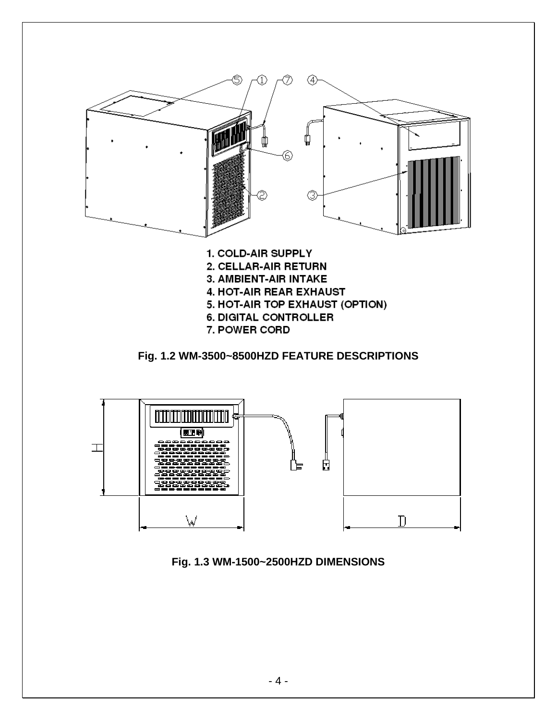

7. POWER CORD

**Fig. 1.2 WM-3500~8500HZD FEATURE DESCRIPTIONS** 



**Fig. 1.3 WM-1500~2500HZD DIMENSIONS**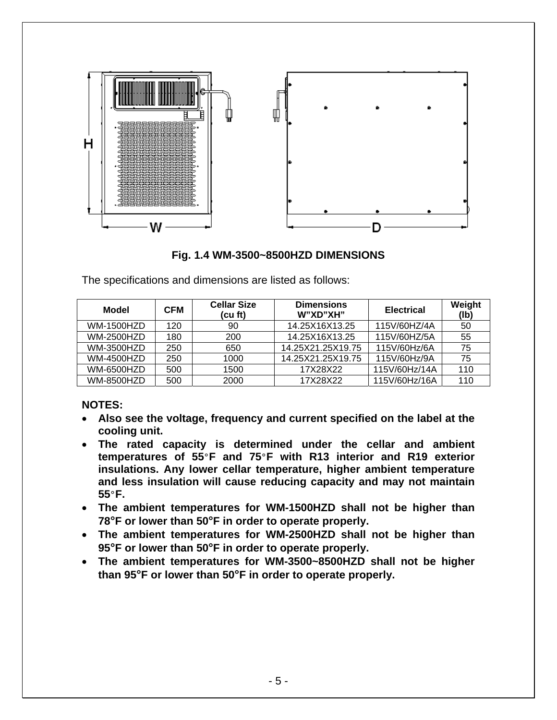



The specifications and dimensions are listed as follows:

| Model             | CFM | <b>Cellar Size</b><br>(cu ft) | <b>Dimensions</b><br>W"XD"XH" | <b>Electrical</b> | Weight<br>(Ib) |
|-------------------|-----|-------------------------------|-------------------------------|-------------------|----------------|
| <b>WM-1500HZD</b> | 120 | 90                            | 14.25X16X13.25                | 115V/60HZ/4A      | 50             |
| <b>WM-2500HZD</b> | 180 | 200                           | 14.25X16X13.25                | 115V/60HZ/5A      | 55             |
| <b>WM-3500HZD</b> | 250 | 650                           | 14.25X21.25X19.75             | 115V/60Hz/6A      | 75             |
| <b>WM-4500HZD</b> | 250 | 1000                          | 14.25X21.25X19.75             | 115V/60Hz/9A      | 75             |
| <b>WM-6500HZD</b> | 500 | 1500                          | 17X28X22                      | 115V/60Hz/14A     | 110            |
| <b>WM-8500HZD</b> | 500 | 2000                          | 17X28X22                      | 115V/60Hz/16A     | 110            |

#### **NOTES:**

- **Also see the voltage, frequency and current specified on the label at the cooling unit.**
- **The rated capacity is determined under the cellar and ambient temperatures of 55**°**F and 75**°**F with R13 interior and R19 exterior insulations. Any lower cellar temperature, higher ambient temperature and less insulation will cause reducing capacity and may not maintain 55**°**F.**
- **The ambient temperatures for WM-1500HZD shall not be higher than 78°F or lower than 50°F in order to operate properly.**
- **The ambient temperatures for WM-2500HZD shall not be higher than 95°F or lower than 50°F in order to operate properly.**
- **The ambient temperatures for WM-3500~8500HZD shall not be higher than 95°F or lower than 50°F in order to operate properly.**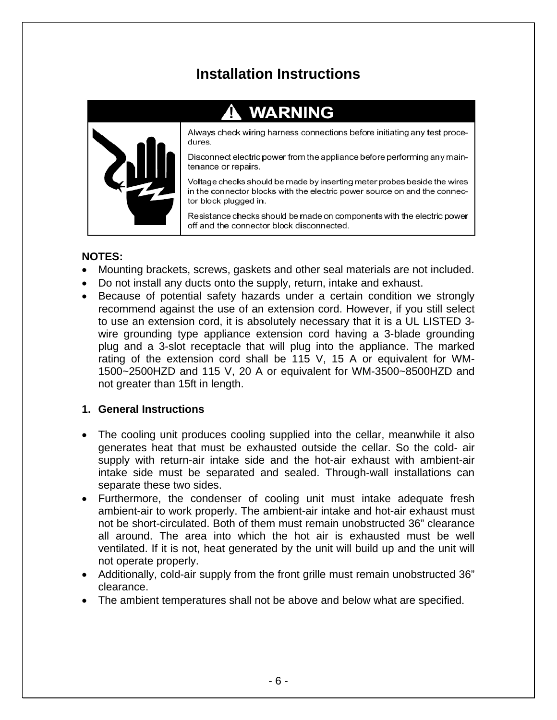### **Installation Instructions**

# **WARNING**



Always check wiring harness connections before initiating any test procedures.

Disconnect electric power from the appliance before performing any maintenance or repairs.

Voltage checks should be made by inserting meter probes beside the wires in the connector blocks with the electric power source on and the connector block plugged in.

Resistance checks should be made on components with the electric power off and the connector block disconnected.

#### **NOTES:**

- Mounting brackets, screws, gaskets and other seal materials are not included.
- Do not install any ducts onto the supply, return, intake and exhaust.
- Because of potential safety hazards under a certain condition we strongly recommend against the use of an extension cord. However, if you still select to use an extension cord, it is absolutely necessary that it is a UL LISTED 3 wire grounding type appliance extension cord having a 3-blade grounding plug and a 3-slot receptacle that will plug into the appliance. The marked rating of the extension cord shall be 115 V, 15 A or equivalent for WM-1500~2500HZD and 115 V, 20 A or equivalent for WM-3500~8500HZD and not greater than 15ft in length.

#### **1. General Instructions**

- The cooling unit produces cooling supplied into the cellar, meanwhile it also generates heat that must be exhausted outside the cellar. So the cold- air supply with return-air intake side and the hot-air exhaust with ambient-air intake side must be separated and sealed. Through-wall installations can separate these two sides.
- Furthermore, the condenser of cooling unit must intake adequate fresh ambient-air to work properly. The ambient-air intake and hot-air exhaust must not be short-circulated. Both of them must remain unobstructed 36" clearance all around. The area into which the hot air is exhausted must be well ventilated. If it is not, heat generated by the unit will build up and the unit will not operate properly.
- Additionally, cold-air supply from the front grille must remain unobstructed 36" clearance.
- The ambient temperatures shall not be above and below what are specified.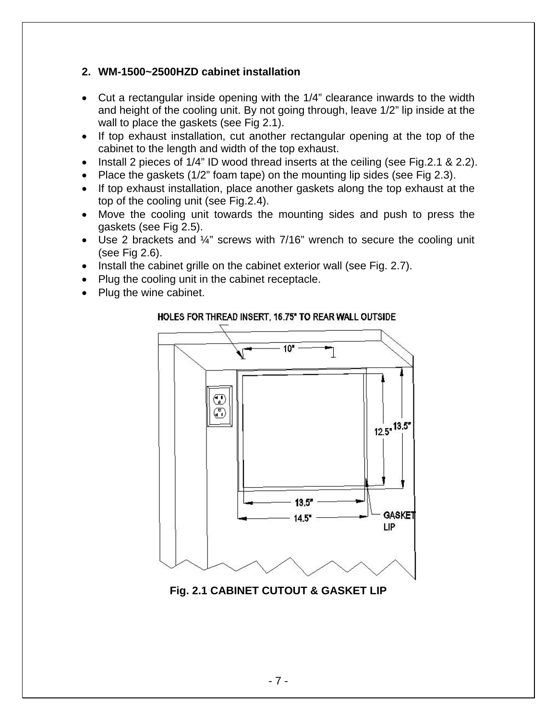#### **2. WM-1500~2500HZD cabinet installation**

- Cut a rectangular inside opening with the 1/4" clearance inwards to the width and height of the cooling unit. By not going through, leave 1/2" lip inside at the wall to place the gaskets (see Fig 2.1).
- If top exhaust installation, cut another rectangular opening at the top of the cabinet to the length and width of the top exhaust.
- Install 2 pieces of 1/4" ID wood thread inserts at the ceiling (see Fig. 2.1 & 2.2).
- Place the gaskets (1/2" foam tape) on the mounting lip sides (see Fig 2.3).
- If top exhaust installation, place another gaskets along the top exhaust at the top of the cooling unit (see Fig.2.4).
- Move the cooling unit towards the mounting sides and push to press the gaskets (see Fig 2.5).
- Use 2 brackets and ¼" screws with 7/16" wrench to secure the cooling unit (see Fig 2.6).
- Install the cabinet grille on the cabinet exterior wall (see Fig. 2.7).
- Plug the cooling unit in the cabinet receptacle.
- Plug the wine cabinet.

#### HOLES FOR THREAD INSERT, 16.75" TO REAR WALL OUTSIDE



**Fig. 2.1 CABINET CUTOUT & GASKET LIP**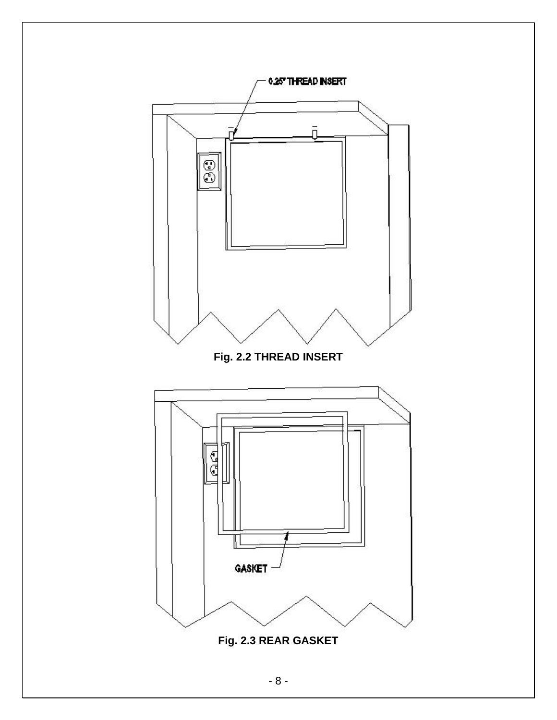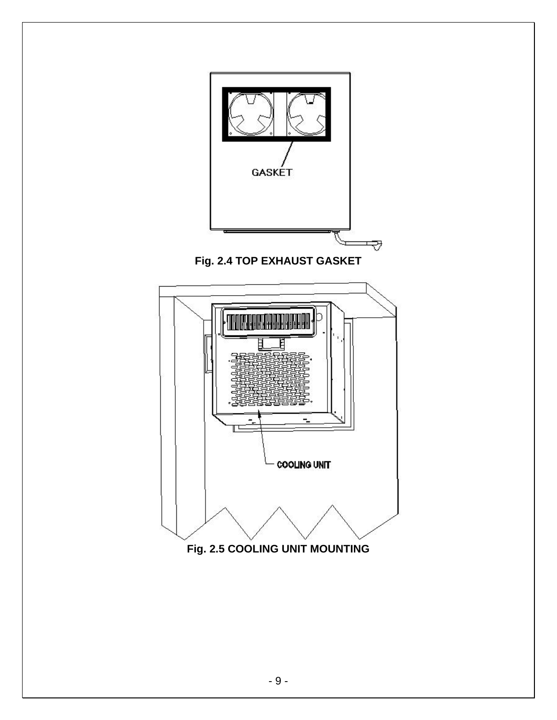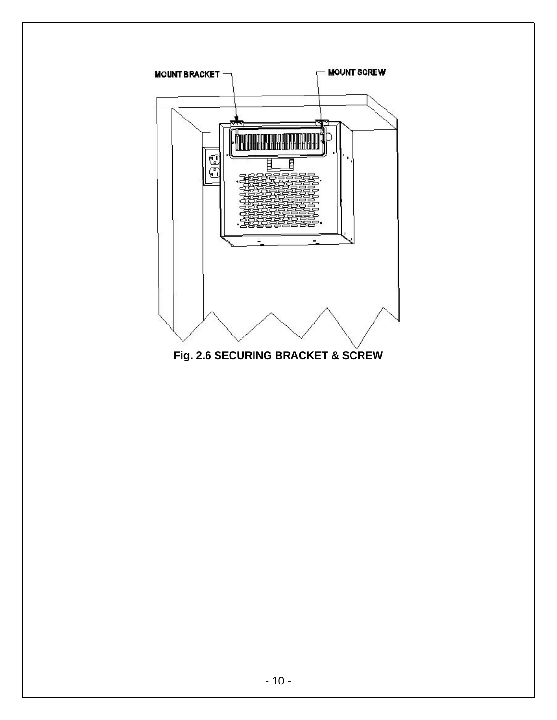

**Fig. 2.6 SECURING BRACKET & SCREW**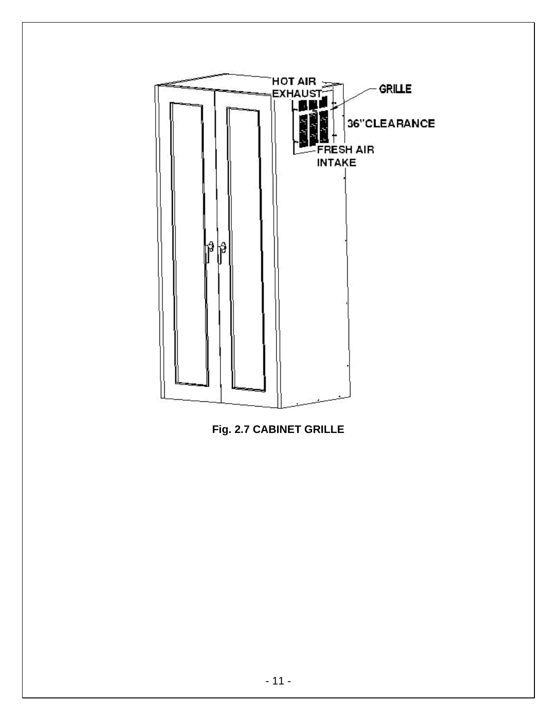

**Fig. 2.7 CABINET GRILLE**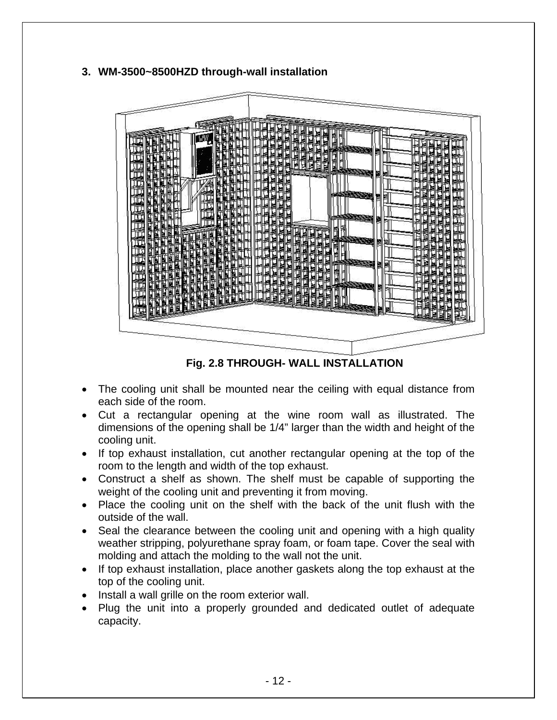#### **3. WM-3500~8500HZD through-wall installation**



**Fig. 2.8 THROUGH- WALL INSTALLATION** 

- The cooling unit shall be mounted near the ceiling with equal distance from each side of the room.
- Cut a rectangular opening at the wine room wall as illustrated. The dimensions of the opening shall be 1/4" larger than the width and height of the cooling unit.
- If top exhaust installation, cut another rectangular opening at the top of the room to the length and width of the top exhaust.
- Construct a shelf as shown. The shelf must be capable of supporting the weight of the cooling unit and preventing it from moving.
- Place the cooling unit on the shelf with the back of the unit flush with the outside of the wall.
- Seal the clearance between the cooling unit and opening with a high quality weather stripping, polyurethane spray foam, or foam tape. Cover the seal with molding and attach the molding to the wall not the unit.
- If top exhaust installation, place another gaskets along the top exhaust at the top of the cooling unit.
- Install a wall grille on the room exterior wall.
- Plug the unit into a properly grounded and dedicated outlet of adequate capacity.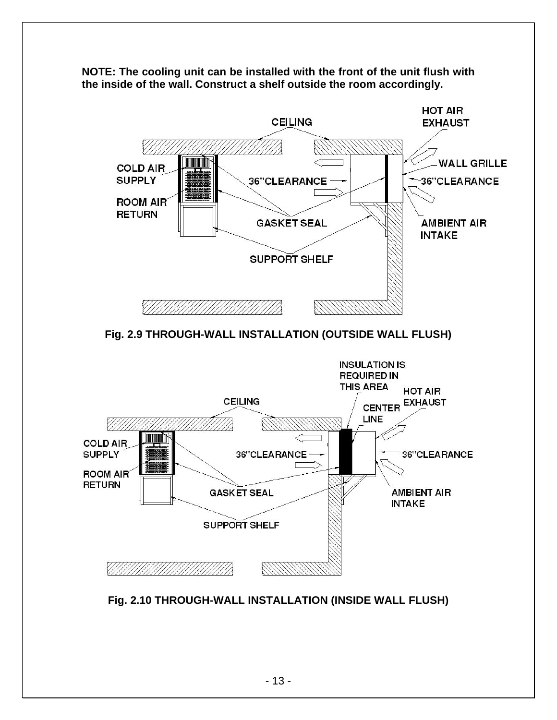



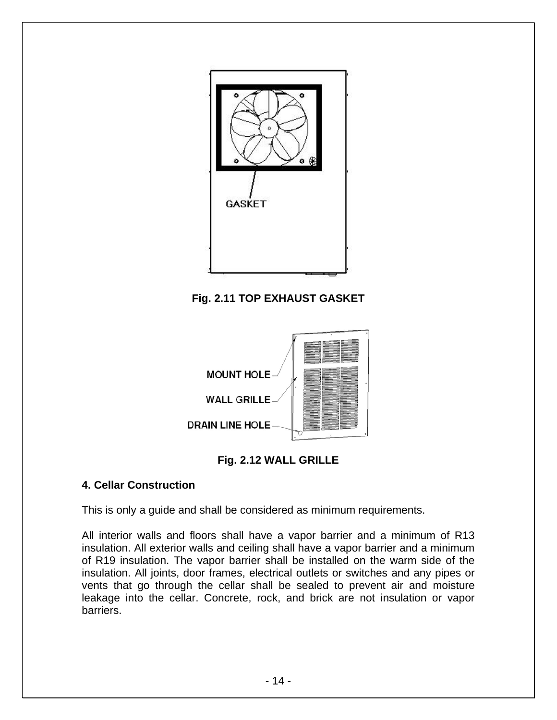

**Fig. 2.11 TOP EXHAUST GASKET**





#### **4. Cellar Construction**

This is only a guide and shall be considered as minimum requirements.

All interior walls and floors shall have a vapor barrier and a minimum of R13 insulation. All exterior walls and ceiling shall have a vapor barrier and a minimum of R19 insulation. The vapor barrier shall be installed on the warm side of the insulation. All joints, door frames, electrical outlets or switches and any pipes or vents that go through the cellar shall be sealed to prevent air and moisture leakage into the cellar. Concrete, rock, and brick are not insulation or vapor barriers.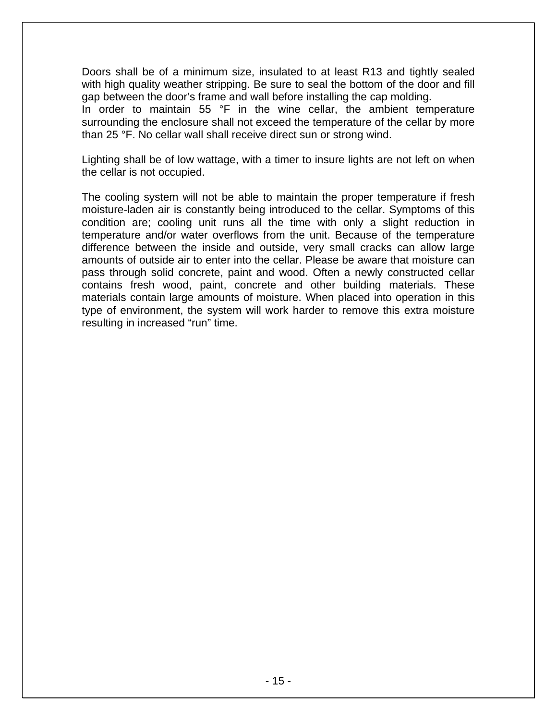Doors shall be of a minimum size, insulated to at least R13 and tightly sealed with high quality weather stripping. Be sure to seal the bottom of the door and fill gap between the door's frame and wall before installing the cap molding.

In order to maintain 55 °F in the wine cellar, the ambient temperature surrounding the enclosure shall not exceed the temperature of the cellar by more than 25 °F. No cellar wall shall receive direct sun or strong wind.

Lighting shall be of low wattage, with a timer to insure lights are not left on when the cellar is not occupied.

The cooling system will not be able to maintain the proper temperature if fresh moisture-laden air is constantly being introduced to the cellar. Symptoms of this condition are; cooling unit runs all the time with only a slight reduction in temperature and/or water overflows from the unit. Because of the temperature difference between the inside and outside, very small cracks can allow large amounts of outside air to enter into the cellar. Please be aware that moisture can pass through solid concrete, paint and wood. Often a newly constructed cellar contains fresh wood, paint, concrete and other building materials. These materials contain large amounts of moisture. When placed into operation in this type of environment, the system will work harder to remove this extra moisture resulting in increased "run" time.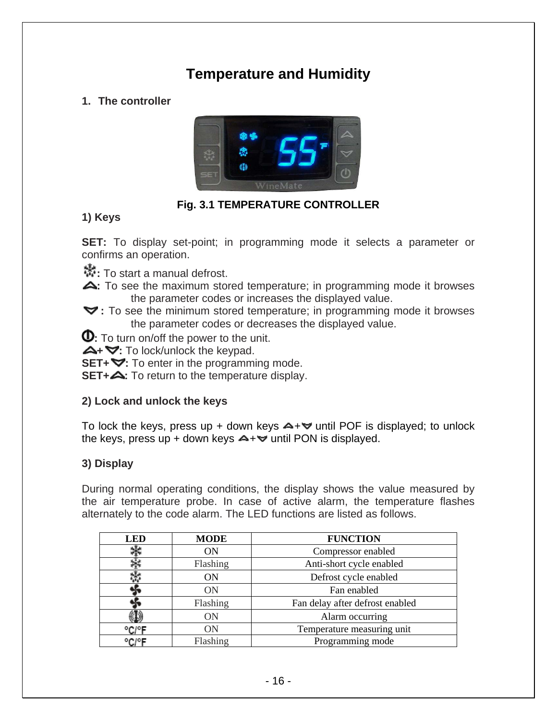### **Temperature and Humidity**

#### **1. The controller**



#### **Fig. 3.1 TEMPERATURE CONTROLLER**

#### **1) Keys**

**SET:** To display set-point; in programming mode it selects a parameter or confirms an operation.

**:** To start a manual defrost.

- **:** To see the maximum stored temperature; in programming mode it browses the parameter codes or increases the displayed value.
- **:** To see the minimum stored temperature; in programming mode it browses the parameter codes or decreases the displayed value.

**0**: To turn on/off the power to the unit.

**+ :** To lock/unlock the keypad.

**SET+**  $\blacktriangledown$ : To enter in the programming mode.

**SET+4:** To return to the temperature display.

#### **2) Lock and unlock the keys**

To lock the keys, press up + down keys  $\blacktriangle + \blacktriangledown$  until POF is displayed; to unlock the keys, press up + down keys  $\rightarrow +\infty$  until PON is displayed.

#### **3) Display**

During normal operating conditions, the display shows the value measured by the air temperature probe. In case of active alarm, the temperature flashes alternately to the code alarm. The LED functions are listed as follows.

| <b>LED</b> | <b>MODE</b> | <b>FUNCTION</b>                 |  |  |
|------------|-------------|---------------------------------|--|--|
|            | ON          | Compressor enabled              |  |  |
|            | Flashing    | Anti-short cycle enabled        |  |  |
|            | OΝ          | Defrost cycle enabled           |  |  |
|            | <b>ON</b>   | Fan enabled                     |  |  |
|            | Flashing    | Fan delay after defrost enabled |  |  |
|            | <b>ON</b>   | Alarm occurring                 |  |  |
| °C/°F      | ON          | Temperature measuring unit      |  |  |
| °C/°F      | Flashing    | Programming mode                |  |  |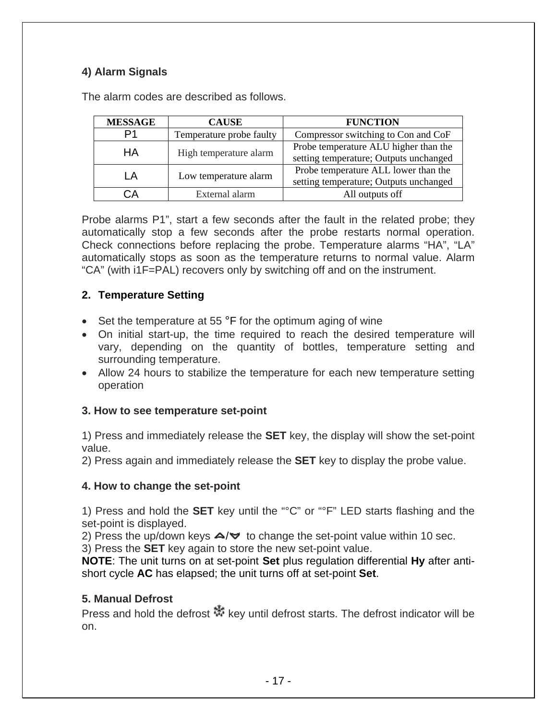#### **4) Alarm Signals**

| <b>MESSAGE</b> | <b>CAUSE</b>             | <b>FUNCTION</b>                        |
|----------------|--------------------------|----------------------------------------|
| D1             | Temperature probe faulty | Compressor switching to Con and CoF    |
| HА             | High temperature alarm   | Probe temperature ALU higher than the  |
|                |                          | setting temperature; Outputs unchanged |
| ΙA             | Low temperature alarm    | Probe temperature ALL lower than the   |
|                |                          | setting temperature; Outputs unchanged |
| `А             | External alarm           | All outputs off                        |

The alarm codes are described as follows.

Probe alarms P1", start a few seconds after the fault in the related probe; they automatically stop a few seconds after the probe restarts normal operation. Check connections before replacing the probe. Temperature alarms "HA", "LA" automatically stops as soon as the temperature returns to normal value. Alarm "CA" (with i1F=PAL) recovers only by switching off and on the instrument.

#### **2. Temperature Setting**

- Set the temperature at 55 °F for the optimum aging of wine
- On initial start-up, the time required to reach the desired temperature will vary, depending on the quantity of bottles, temperature setting and surrounding temperature.
- Allow 24 hours to stabilize the temperature for each new temperature setting operation

#### **3. How to see temperature set-point**

1) Press and immediately release the **SET** key, the display will show the set-point value.

2) Press again and immediately release the **SET** key to display the probe value.

#### **4. How to change the set-point**

1) Press and hold the **SET** key until the "°C" or "°F" LED starts flashing and the set-point is displayed.

2) Press the up/down keys  $\triangle / \triangledown$  to change the set-point value within 10 sec.

3) Press the **SET** key again to store the new set-point value.

**NOTE**: The unit turns on at set-point **Set** plus regulation differential **Hy** after antishort cycle **AC** has elapsed; the unit turns off at set-point **Set**.

#### **5. Manual Defrost**

Press and hold the defrost  $\mathbb{R}^k$  key until defrost starts. The defrost indicator will be on.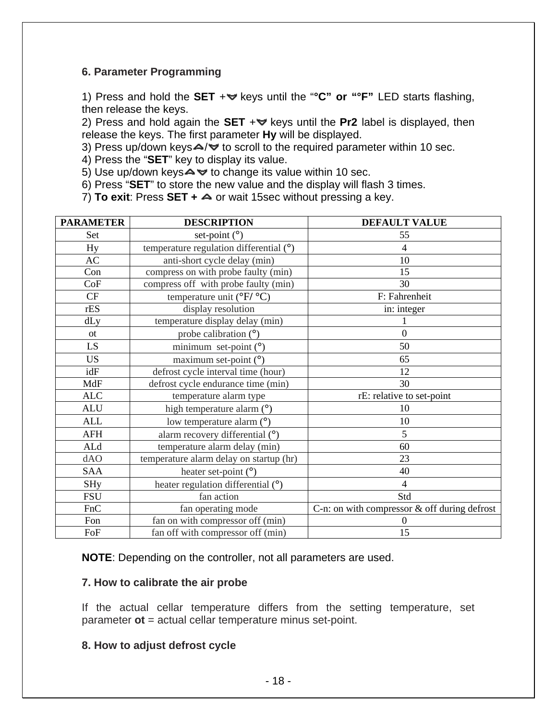#### **6. Parameter Programming**

1) Press and hold the **SET** + veys until the "°C" or "°F" LED starts flashing, then release the keys.

2) Press and hold again the **SET**  $+\vee$  keys until the **Pr2** label is displayed, then release the keys. The first parameter **Hy** will be displayed.

3) Press up/down keys $\triangle$ / $\triangledown$  to scroll to the required parameter within 10 sec.

4) Press the "**SET**" key to display its value.

5) Use up/down keys $\blacktriangle \blacktriangleright$  to change its value within 10 sec.

6) Press "**SET**" to store the new value and the display will flash 3 times.

7) **To exit:** Press **SET + △** or wait 15sec without pressing a key.

| <b>PARAMETER</b> | <b>DESCRIPTION</b>                              | <b>DEFAULT VALUE</b>                           |  |
|------------------|-------------------------------------------------|------------------------------------------------|--|
| Set              | set-point $(^\circ)$                            | 55                                             |  |
| Hy               | temperature regulation differential $(°)$       | 4                                              |  |
| AC               | anti-short cycle delay (min)                    | 10                                             |  |
| Con              | compress on with probe faulty (min)             | 15                                             |  |
| CoF              | compress off with probe faulty (min)            | 30                                             |  |
| CF               | temperature unit ( ${}^{\circ}F/ {}^{\circ}C$ ) | F: Fahrenheit                                  |  |
| rES              | display resolution                              | in: integer                                    |  |
| dLy              | temperature display delay (min)                 |                                                |  |
| <b>ot</b>        | probe calibration (°)                           | $\overline{0}$                                 |  |
| LS.              | minimum set-point $(°)$                         | 50                                             |  |
| <b>US</b>        | maximum set-point $(°)$                         | 65                                             |  |
| idF              | defrost cycle interval time (hour)              | 12                                             |  |
| MdF              | defrost cycle endurance time (min)              | 30                                             |  |
| <b>ALC</b>       | temperature alarm type                          | rE: relative to set-point                      |  |
| <b>ALU</b>       | high temperature alarm (°)                      | 10                                             |  |
| <b>ALL</b>       | low temperature alarm (°)                       | 10                                             |  |
| AFH              | alarm recovery differential (°)                 | 5                                              |  |
| ALd              | temperature alarm delay (min)                   | 60                                             |  |
| dAO              | temperature alarm delay on startup (hr)         | 23                                             |  |
| SAA              | heater set-point $(°)$                          | 40                                             |  |
| <b>SHy</b>       | heater regulation differential (°)              | $\overline{4}$                                 |  |
| <b>FSU</b>       | fan action                                      | Std                                            |  |
| FnC              | fan operating mode                              | C-n: on with compressor $&$ off during defrost |  |
| Fon              | fan on with compressor off (min)                | $\Omega$                                       |  |
| FoF              | fan off with compressor off (min)               | 15                                             |  |

**NOTE**: Depending on the controller, not all parameters are used.

#### **7. How to calibrate the air probe**

If the actual cellar temperature differs from the setting temperature, set parameter **ot** = actual cellar temperature minus set-point.

#### **8. How to adjust defrost cycle**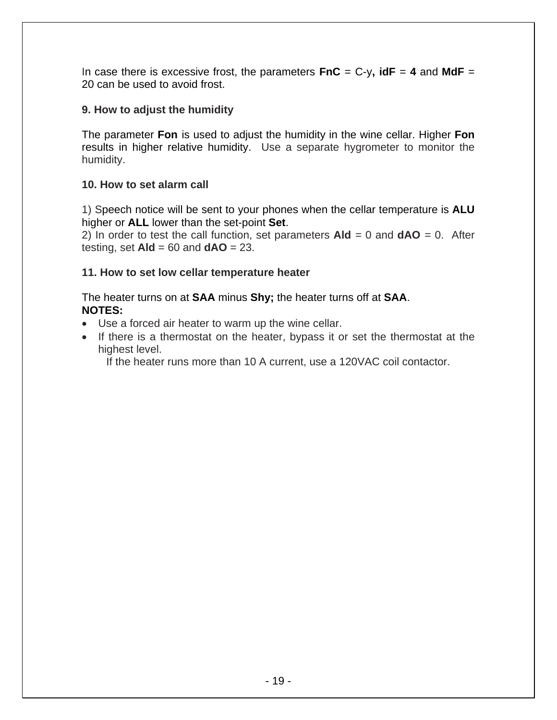In case there is excessive frost, the parameters  $\mathbf{FnC} = C-y$ ,  $\mathbf{idF} = 4$  and  $\mathbf{MdF} =$ 20 can be used to avoid frost.

#### **9. How to adjust the humidity**

The parameter **Fon** is used to adjust the humidity in the wine cellar. Higher **Fon**  results in higher relative humidity. Use a separate hygrometer to monitor the humidity.

#### **10. How to set alarm call**

1) Speech notice will be sent to your phones when the cellar temperature is **ALU** higher or **ALL** lower than the set-point **Set**.

2) In order to test the call function, set parameters  $A \cdot d = 0$  and  $dA O = 0$ . After testing, set **Ald** = 60 and **dAO** = 23.

#### **11. How to set low cellar temperature heater**

The heater turns on at **SAA** minus **Shy;** the heater turns off at **SAA**. **NOTES:** 

- Use a forced air heater to warm up the wine cellar.
- If there is a thermostat on the heater, bypass it or set the thermostat at the highest level.

If the heater runs more than 10 A current, use a 120VAC coil contactor.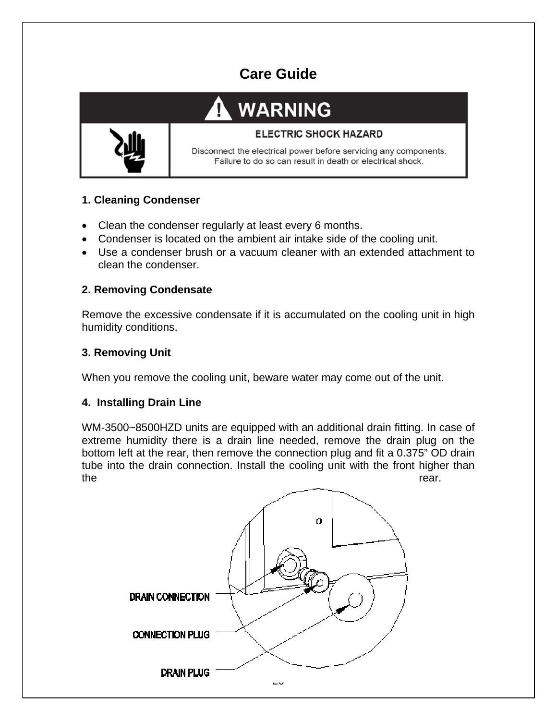### **Care Guide**

# **WARNING**



#### **ELECTRIC SHOCK HAZARD**

Disconnect the electrical power before servicing any components. Failure to do so can result in death or electrical shock.

#### **1. Cleaning Condenser**

- Clean the condenser regularly at least every 6 months.
- Condenser is located on the ambient air intake side of the cooling unit.
- Use a condenser brush or a vacuum cleaner with an extended attachment to clean the condenser.

#### **2. Removing Condensate**

Remove the excessive condensate if it is accumulated on the cooling unit in high humidity conditions.

#### **3. Removing Unit**

When you remove the cooling unit, beware water may come out of the unit.

#### **4. Installing Drain Line**

WM-3500~8500HZD units are equipped with an additional drain fitting. In case of extreme humidity there is a drain line needed, remove the drain plug on the bottom left at the rear, then remove the connection plug and fit a 0.375" OD drain tube into the drain connection. Install the cooling unit with the front higher than the rear.

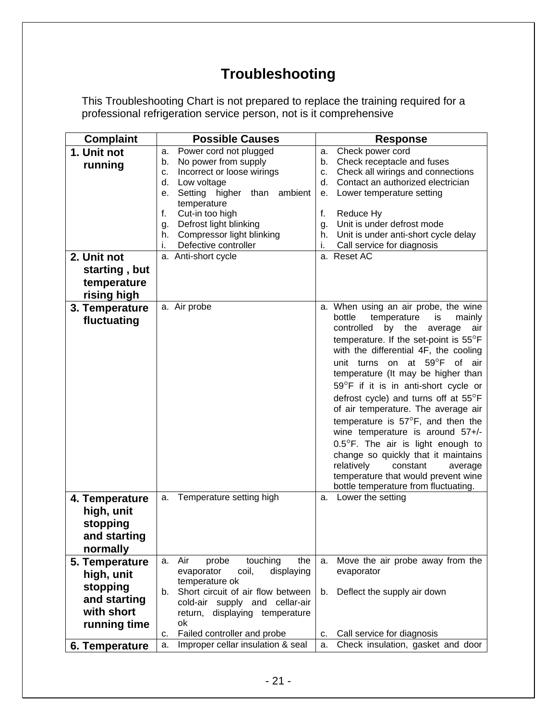### **Troubleshooting**

This Troubleshooting Chart is not prepared to replace the training required for a professional refrigeration service person, not is it comprehensive

| <b>Complaint</b> | <b>Possible Causes</b>                  | <b>Response</b>                              |  |  |
|------------------|-----------------------------------------|----------------------------------------------|--|--|
| 1. Unit not      | Power cord not plugged<br>a.            | Check power cord<br>a.                       |  |  |
| running          | No power from supply<br>b.              | Check receptacle and fuses<br>b.             |  |  |
|                  | Incorrect or loose wirings<br>c.        | Check all wirings and connections<br>c.      |  |  |
|                  | d.<br>Low voltage                       | Contact an authorized electrician<br>d.      |  |  |
|                  | Setting higher than<br>ambient<br>е.    | Lower temperature setting<br>е.              |  |  |
|                  | temperature                             |                                              |  |  |
|                  | f.<br>Cut-in too high                   | f.<br>Reduce Hy                              |  |  |
|                  | Defrost light blinking<br>g.            | Unit is under defrost mode<br>g.             |  |  |
|                  | Compressor light blinking<br>h.         | Unit is under anti-short cycle delay<br>h.   |  |  |
|                  | Defective controller<br>i.              | Call service for diagnosis<br>i.             |  |  |
| 2. Unit not      | a. Anti-short cycle                     | a. Reset AC                                  |  |  |
| starting, but    |                                         |                                              |  |  |
| temperature      |                                         |                                              |  |  |
| rising high      |                                         |                                              |  |  |
| 3. Temperature   | a. Air probe                            | a. When using an air probe, the wine         |  |  |
|                  |                                         | bottle<br>temperature<br>mainly<br>is        |  |  |
| fluctuating      |                                         | controlled<br>by<br>the<br>average<br>air    |  |  |
|                  |                                         | temperature. If the set-point is 55°F        |  |  |
|                  |                                         | with the differential 4F, the cooling        |  |  |
|                  |                                         | unit turns on at $59^{\circ}$ F<br>of<br>air |  |  |
|                  |                                         | temperature (It may be higher than           |  |  |
|                  |                                         |                                              |  |  |
|                  |                                         | 59°F if it is in anti-short cycle or         |  |  |
|                  |                                         | defrost cycle) and turns off at 55°F         |  |  |
|                  |                                         | of air temperature. The average air          |  |  |
|                  |                                         | temperature is $57^{\circ}$ F, and then the  |  |  |
|                  |                                         | wine temperature is around 57+/-             |  |  |
|                  |                                         | 0.5°F. The air is light enough to            |  |  |
|                  |                                         | change so quickly that it maintains          |  |  |
|                  |                                         | relatively<br>constant<br>average            |  |  |
|                  |                                         | temperature that would prevent wine          |  |  |
|                  |                                         | bottle temperature from fluctuating.         |  |  |
| 4. Temperature   | Temperature setting high<br>a.          | Lower the setting<br>а.                      |  |  |
| high, unit       |                                         |                                              |  |  |
| stopping         |                                         |                                              |  |  |
| and starting     |                                         |                                              |  |  |
| normally         |                                         |                                              |  |  |
| 5. Temperature   | Air<br>touching<br>probe<br>the<br>a.   | Move the air probe away from the<br>a.       |  |  |
| high, unit       | displaying<br>evaporator<br>coil,       | evaporator                                   |  |  |
|                  | temperature ok                          |                                              |  |  |
| stopping         | Short circuit of air flow between<br>b. | Deflect the supply air down<br>b.            |  |  |
| and starting     | cold-air supply and cellar-air          |                                              |  |  |
| with short       | displaying temperature<br>return,       |                                              |  |  |
| running time     | ok                                      |                                              |  |  |
|                  | Failed controller and probe<br>c.       | Call service for diagnosis<br>c.             |  |  |
| 6. Temperature   | Improper cellar insulation & seal<br>a. | Check insulation, gasket and door<br>a.      |  |  |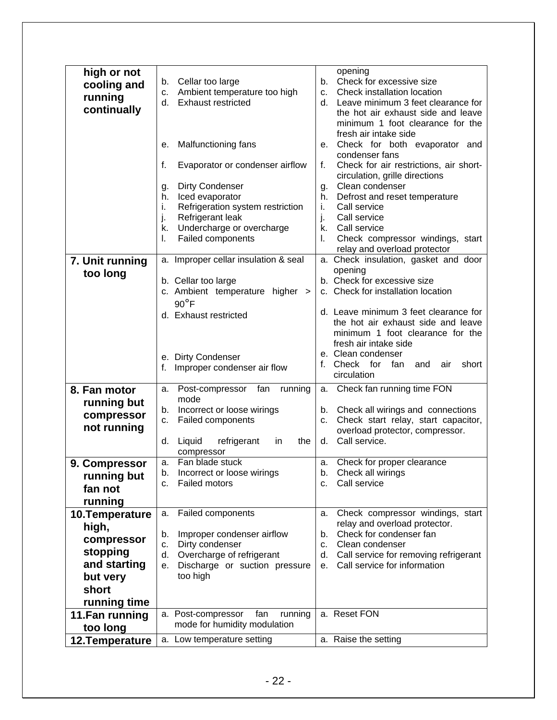| high or not     |    |                                      |    | opening                                 |
|-----------------|----|--------------------------------------|----|-----------------------------------------|
| cooling and     | b. | Cellar too large                     | b. | Check for excessive size                |
| running         | c. | Ambient temperature too high         | C. | Check installation location             |
|                 | d. | <b>Exhaust restricted</b>            | d. | Leave minimum 3 feet clearance for      |
| continually     |    |                                      |    | the hot air exhaust side and leave      |
|                 |    |                                      |    | minimum 1 foot clearance for the        |
|                 |    |                                      |    | fresh air intake side                   |
|                 |    |                                      |    |                                         |
|                 | е. | Malfunctioning fans                  | е. | Check for both evaporator and           |
|                 |    |                                      |    | condenser fans                          |
|                 | f. | Evaporator or condenser airflow      | f. | Check for air restrictions, air short-  |
|                 |    |                                      |    | circulation, grille directions          |
|                 | g. | <b>Dirty Condenser</b>               | g. | Clean condenser                         |
|                 | h. | Iced evaporator                      | h. | Defrost and reset temperature           |
|                 | İ. | Refrigeration system restriction     | i. | Call service                            |
|                 | j. | Refrigerant leak                     | j. | Call service                            |
|                 | k. | Undercharge or overcharge            | k. | Call service                            |
|                 |    |                                      |    |                                         |
|                 | I. | Failed components                    | I. | Check compressor windings, start        |
|                 |    |                                      |    | relay and overload protector            |
| 7. Unit running |    | a. Improper cellar insulation & seal |    | a. Check insulation, gasket and door    |
| too long        |    |                                      |    | opening                                 |
|                 |    | b. Cellar too large                  |    | b. Check for excessive size             |
|                 |    | c. Ambient temperature higher >      |    | c. Check for installation location      |
|                 |    | $90^{\circ}$ F                       |    |                                         |
|                 |    |                                      |    | d. Leave minimum 3 feet clearance for   |
|                 |    | d. Exhaust restricted                |    | the hot air exhaust side and leave      |
|                 |    |                                      |    | minimum 1 foot clearance for the        |
|                 |    |                                      |    |                                         |
|                 |    |                                      |    | fresh air intake side                   |
|                 |    | e. Dirty Condenser                   |    | e. Clean condenser                      |
|                 | f. | Improper condenser air flow          | f. | Check for<br>fan<br>and<br>short<br>air |
|                 |    |                                      |    | circulation                             |
| 8. Fan motor    | a. | Post-compressor fan<br>running       | a. | Check fan running time FON              |
|                 |    | mode                                 |    |                                         |
| running but     | b. | Incorrect or loose wirings           |    | b. Check all wirings and connections    |
| compressor      | c. | Failed components                    | C. | Check start relay, start capacitor,     |
| not running     |    |                                      |    |                                         |
|                 |    |                                      |    | overload protector, compressor.         |
|                 | d. | Liquid<br>refrigerant<br>the<br>in   | d. | Call service.                           |
|                 |    | compressor                           |    |                                         |
| 9. Compressor   | a. | Fan blade stuck                      | a. | Check for proper clearance              |
| running but     | b. | Incorrect or loose wirings           | b. | Check all wirings                       |
| fan not         | c. | <b>Failed motors</b>                 | c. | Call service                            |
|                 |    |                                      |    |                                         |
| running         |    |                                      |    |                                         |
| 10. Temperature | а. | Failed components                    | а. | Check compressor windings, start        |
| high,           |    |                                      |    | relay and overload protector.           |
|                 | b. | Improper condenser airflow           | b. | Check for condenser fan                 |
| compressor      | c. | Dirty condenser                      | C. | Clean condenser                         |
| stopping        | d. | Overcharge of refrigerant            | d. | Call service for removing refrigerant   |
| and starting    | е. | Discharge or suction pressure        | е. | Call service for information            |
|                 |    | too high                             |    |                                         |
| but very        |    |                                      |    |                                         |
| short           |    |                                      |    |                                         |
| running time    |    |                                      |    |                                         |
| 11. Fan running |    | a. Post-compressor<br>fan<br>running |    | a. Reset FON                            |
|                 |    | mode for humidity modulation         |    |                                         |
| too long        |    |                                      |    |                                         |
| 12. Temperature |    | a. Low temperature setting           |    | a. Raise the setting                    |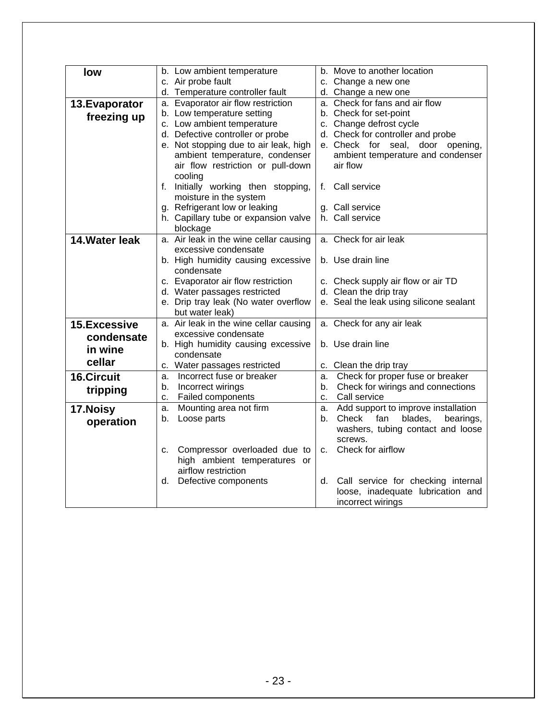| low                 | b. Move to another location<br>b. Low ambient temperature                                          |
|---------------------|----------------------------------------------------------------------------------------------------|
|                     | c. Air probe fault<br>c. Change a new one                                                          |
|                     | d. Temperature controller fault<br>d. Change a new one                                             |
| 13. Evaporator      | a. Evaporator air flow restriction<br>a. Check for fans and air flow                               |
| freezing up         | b. Low temperature setting<br>b. Check for set-point                                               |
|                     | c. Low ambient temperature<br>c. Change defrost cycle                                              |
|                     | d. Defective controller or probe<br>d. Check for controller and probe                              |
|                     | e. Not stopping due to air leak, high<br>e. Check for seal, door opening,                          |
|                     | ambient temperature, condenser<br>ambient temperature and condenser                                |
|                     | air flow<br>air flow restriction or pull-down                                                      |
|                     | cooling                                                                                            |
|                     | f. Initially working then stopping,<br>f. Call service                                             |
|                     | moisture in the system                                                                             |
|                     | g. Refrigerant low or leaking<br>g. Call service                                                   |
|                     | h. Capillary tube or expansion valve<br>h. Call service                                            |
|                     | blockage                                                                                           |
| 14. Water leak      | a. Air leak in the wine cellar causing<br>a. Check for air leak                                    |
|                     | excessive condensate                                                                               |
|                     | b. Use drain line<br>b. High humidity causing excessive                                            |
|                     | condensate                                                                                         |
|                     | c. Evaporator air flow restriction<br>c. Check supply air flow or air TD                           |
|                     | d. Water passages restricted<br>d. Clean the drip tray                                             |
|                     | e. Seal the leak using silicone sealant<br>e. Drip tray leak (No water overflow<br>but water leak) |
| <b>15.Excessive</b> | a. Air leak in the wine cellar causing<br>a. Check for any air leak                                |
|                     | excessive condensate                                                                               |
| condensate          | b. Use drain line<br>b. High humidity causing excessive                                            |
| in wine             | condensate                                                                                         |
| cellar              | c. Water passages restricted<br>c. Clean the drip tray                                             |
| <b>16.Circuit</b>   | Check for proper fuse or breaker<br>Incorrect fuse or breaker<br>a.<br>а.                          |
|                     | Check for wirings and connections<br>Incorrect wirings<br>b.<br>b.                                 |
| tripping            | Failed components<br>Call service<br>c.<br>$C_{-}$                                                 |
| 17.Noisy            | Mounting area not firm<br>Add support to improve installation<br>a.<br>a.                          |
| operation           | Loose parts<br>blades,<br>Check<br>fan<br>bearings,<br>b.<br>b.                                    |
|                     | washers, tubing contact and loose                                                                  |
|                     | screws.                                                                                            |
|                     | Check for airflow<br>Compressor overloaded due to<br>C.<br>c.                                      |
|                     | high ambient temperatures or                                                                       |
|                     | airflow restriction                                                                                |
|                     | Defective components<br>Call service for checking internal<br>d.<br>d.                             |
|                     | loose, inadequate lubrication and                                                                  |
|                     | incorrect wirings                                                                                  |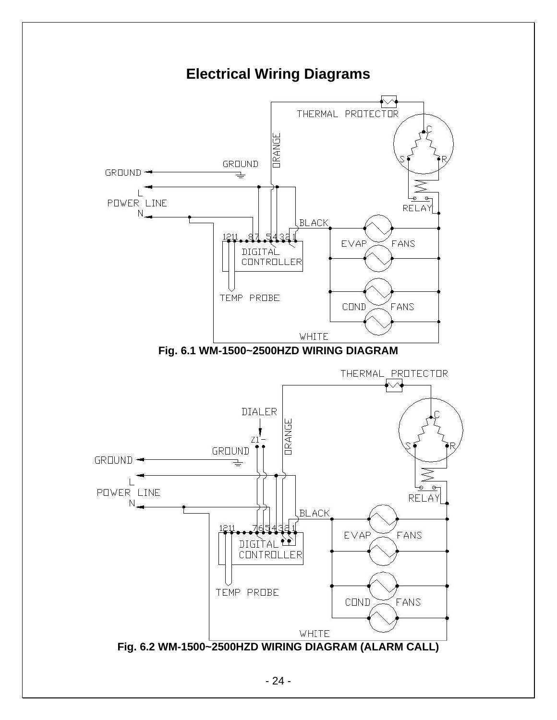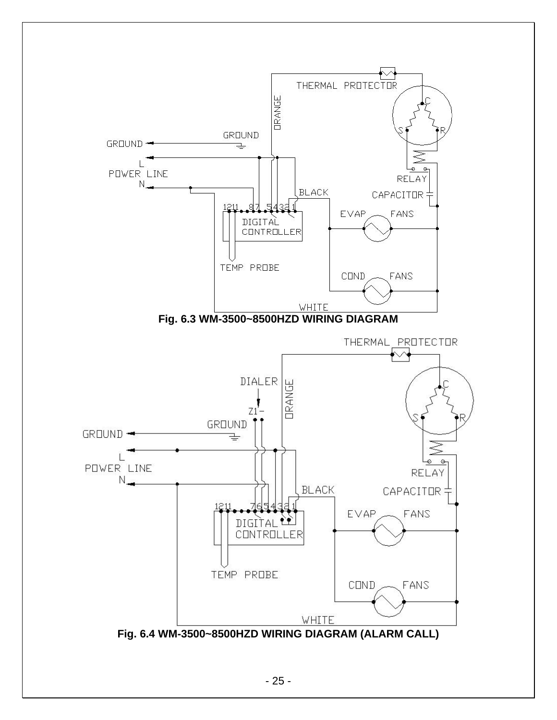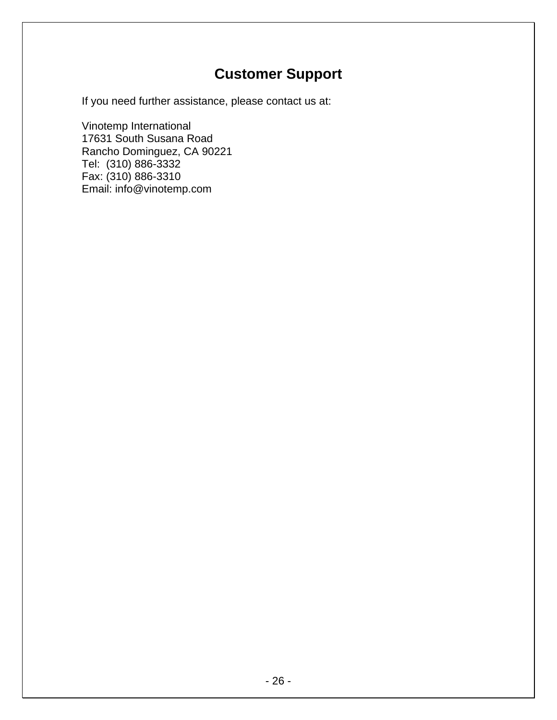### **Customer Support**

If you need further assistance, please contact us at:

Vinotemp International 17631 South Susana Road Rancho Dominguez, CA 90221 Tel: (310) 886-3332 Fax: (310) 886-3310 Email: info@vinotemp.com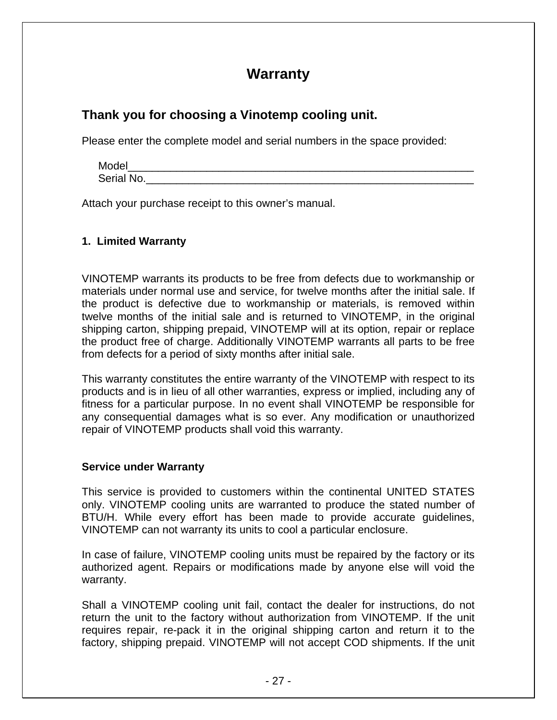### **Warranty**

### **Thank you for choosing a Vinotemp cooling unit.**

Please enter the complete model and serial numbers in the space provided:

| Model      |  |  |  |
|------------|--|--|--|
| Serial No. |  |  |  |

Attach your purchase receipt to this owner's manual.

#### **1. Limited Warranty**

VINOTEMP warrants its products to be free from defects due to workmanship or materials under normal use and service, for twelve months after the initial sale. If the product is defective due to workmanship or materials, is removed within twelve months of the initial sale and is returned to VINOTEMP, in the original shipping carton, shipping prepaid, VINOTEMP will at its option, repair or replace the product free of charge. Additionally VINOTEMP warrants all parts to be free from defects for a period of sixty months after initial sale.

This warranty constitutes the entire warranty of the VINOTEMP with respect to its products and is in lieu of all other warranties, express or implied, including any of fitness for a particular purpose. In no event shall VINOTEMP be responsible for any consequential damages what is so ever. Any modification or unauthorized repair of VINOTEMP products shall void this warranty.

#### **Service under Warranty**

This service is provided to customers within the continental UNITED STATES only. VINOTEMP cooling units are warranted to produce the stated number of BTU/H. While every effort has been made to provide accurate guidelines, VINOTEMP can not warranty its units to cool a particular enclosure.

In case of failure, VINOTEMP cooling units must be repaired by the factory or its authorized agent. Repairs or modifications made by anyone else will void the warranty.

Shall a VINOTEMP cooling unit fail, contact the dealer for instructions, do not return the unit to the factory without authorization from VINOTEMP. If the unit requires repair, re-pack it in the original shipping carton and return it to the factory, shipping prepaid. VINOTEMP will not accept COD shipments. If the unit